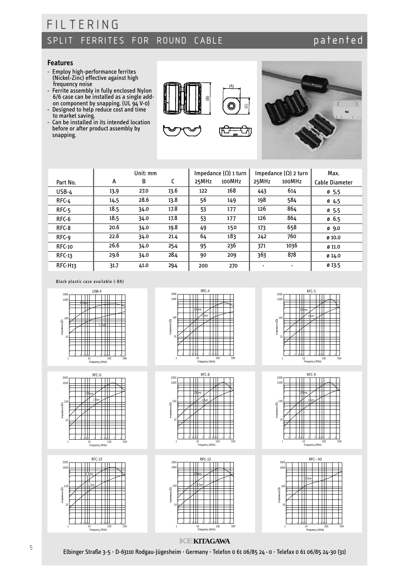### patented

#### **Features**

- Employ high-performance ferrites (Nickel-Zinc) effective against high frequency noise
- Ferrite assembly in fully enclosed Nylon 6/6 case can be installed as a single addon component by snapping. (UL 94 V-0) - Designed to help reduce cost and time
- to market saving.
- Can be installed in its intended location before or after product assembly by snapping.





|                     |      | Unit: mm |      |       | Impedance $(\Omega)$ 1 turn |       | Impedance $(\Omega)$ 2 turn | Max.             |
|---------------------|------|----------|------|-------|-----------------------------|-------|-----------------------------|------------------|
| Part No.            | А    | в        | C    | 25MHz | 100MHz                      | 25MHz | 100MHz                      | Cable Diameter   |
| $USB-4$             | 13,9 | 27.0     | 13.6 | 122   | 168                         | 443   | 614                         | 0, 5, 5          |
| RFC-4               | 14,5 | 28.6     | 13.8 | 56    | 149                         | 198   | 584                         | 04,5             |
| $RFC-5$             | 18.5 | 34.0     | 17.8 | 53    | 177                         | 126   | 864                         | 0, 5.5           |
| RFC-6               | 18.5 | 34.0     | 17.8 | 53    | 177                         | 126   | 864                         | 0, 6.5           |
| RFC-8               | 20.6 | 34.0     | 19.8 | 49    | 150                         | 173   | 658                         | $\emptyset$ 9.0  |
| RFC-9               | 22.6 | 34.0     | 21.4 | 64    | 183                         | 242   | 760                         | 0.10.0           |
| <b>RFC-10</b>       | 26.6 | 34.0     | 25.4 | 95    | 236                         | 371   | 1036                        | $\emptyset$ 11.0 |
| $RFC-13$            | 29.6 | 34.0     | 28.4 | 90    | 209                         | 363   | 878                         | Ø14.0            |
| RFC-H <sub>13</sub> | 31.7 | 41.0     | 29.4 | 200   | 270                         |       | ٠                           | Ø 13.5           |

Black plastic case available (-BK)









2 Turns 1 Turn

2 Turns 1 Turn

 $2000$  RFC-13

RFC-8

1000

8

100

Impedance (Ω)

nedance (Q)

10

6 2

1

1000

100

Impedance (Ω)

10

8 1

8 1

8

1 2



Frequency (MHz)



RFC - H32000 100 8 1 Turn 100 1 mpedance (S2) Impedance (Ω) 8 П 2 Н 10 1  $\prod_{s}$ 2 1 10 100 Frequency (MHz) 500

### **KEKITAGAWA** 10 100 Frequency (MHz)

4 6 81 2 4 6 81 2 4

 $4 681 2 4$ 

500

500

10 100 Frequency (MHz)

Elbinger Straße 3-5 · D-63110 Rodgau-Jügesheim · Germany· Telefon 0 61 06/85 24 - 0 · Telefax 0 61 06/85 24-30 (31)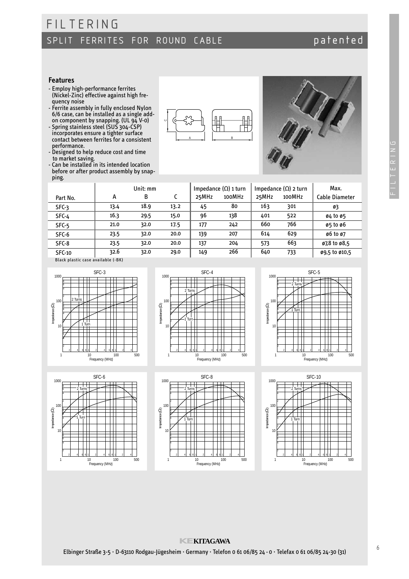# SPLIT FERRITES FOR ROUND CABLE

### patented

#### **Features**

- Employ high-performance ferrites (Nickel-Zinc) effective against high frequency noise

FILTERING

- Ferrite assembly in fully enclosed Nylon 6/6 case, can be installed as a single addon component by snapping. (UL 94 V-0)
- Spring stainless steel (SUS 304-CSP) incorporates ensure a tighter surface contact between ferrites for a consistent performance.
- Designed to help reduce cost and time to market saving.
- Can be installed in its intended location before or after product assembly by snapping.





|                                   |      | Unit: mm |      |       | Impedance $(\Omega)$ 1 turn |       | Impedance $(\Omega)$ 2 turn | Max.                               |
|-----------------------------------|------|----------|------|-------|-----------------------------|-------|-----------------------------|------------------------------------|
| Part No.                          | А    | В        |      | 25MHz | 100MHz                      | 25MHz | 100MHz                      | Cable Diameter                     |
| $SFC-3$                           | 13.4 | 18.9     | 13.2 | 45    | 80                          | 163   | 301                         | Ø3                                 |
| $SFC-4$                           | 16.3 | 29.5     | 15.0 | 96    | 138                         | 401   | 522                         | ø4 to ø5                           |
| SFC-5                             | 21.0 | 32.0     | 17.5 | 177   | 242                         | 660   | 766                         | ø5 to ø6                           |
| SFC-6                             | 23.5 | 32.0     | 20.0 | 139   | 207                         | 614   | 629                         | 06 to 07                           |
| $SFC-8$                           | 23.5 | 32.0     | 20.0 | 137   | 204                         | 573   | 663                         | $\emptyset$ 7,8 to $\emptyset$ 8,5 |
| <b>SFC-10</b>                     | 32.6 | 32.0     | 29.0 | 149   | 266                         | 640   | 733                         | ø9,5 to ø10,5                      |
| Blask alastis sasa available (BK) |      |          |      |       |                             |       |                             |                                    |









2 Turns

1 Turn

100

Impedance (Ω)

Impedance (Q)

10





**KEKITAGAWA**

 $681$ 10 100 Frequency (MHz)

Π

Ħ

 $\mathbf{L}$ 

500

Elbinger Straße 3-5 · D-63110 Rodgau-Jügesheim · Germany· Telefon 0 61 06/85 24 - 0 · Telefax 0 61 06/85 24-30 (31)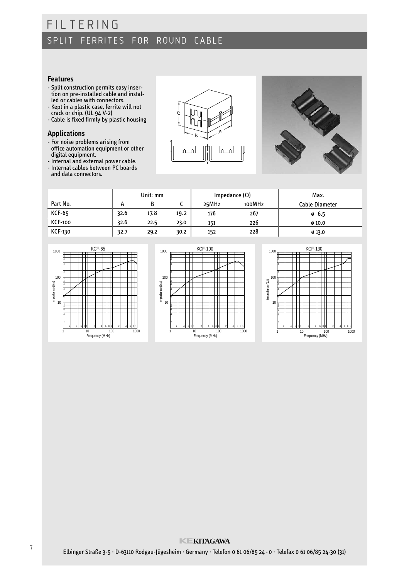#### **Features**

- Split construction permits easy insertion on pre-installed cable and installed or cables with connectors.
- Kept in a plastic case, ferrite will not crack or chip. (UL 94 V-2)
- Cable is fixed firmly by plastic housing

#### **Applications**

- For noise problems arising from office automation equipment or other digital equipment.
- Internal and external power cable.
- Internal cables between PC boards and data connectors.





|                |      | Unit: mm |       |        | Impedance $(\Omega)$ | Max.   |
|----------------|------|----------|-------|--------|----------------------|--------|
| Part No.       | n    |          | 25MHz | 100MHz | Cable Diameter       |        |
| <b>KCF-65</b>  | 32.6 | 17.8     | 19.2  | 176    | 267                  | 0, 6.5 |
| <b>KCF-100</b> | 32.6 | 22.5     | 23.0  | 151    | 226                  | 0.10.0 |
| KCF-130        | 32.7 | 29.2     | 30.2  | 152    | 228                  | 013.0  |





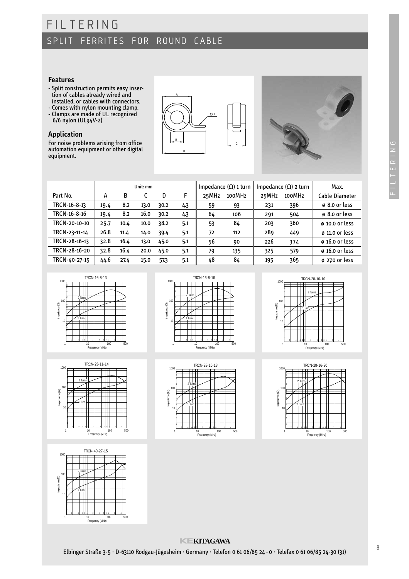#### **Features**

- Split construction permits easy insertion of cables already wired and installed, or cables with connectors.
- Comes with nylon mounting clamp. - Clamps are made of UL recognized
- 6/6 nylon (UL94V-2)

#### **Application**

For noise problems arising from office automation equipment or other digital equipment.





|               |      |      | Unit: mm |      |     |       | Impedance $(\Omega)$ 1 turn |       | Impedance $(\Omega)$ 2 turn | Max.                       |
|---------------|------|------|----------|------|-----|-------|-----------------------------|-------|-----------------------------|----------------------------|
| Part No.      | А    | B    |          | D    | F   | 25MHz | 100MHz                      | 25MHz | 100MHz                      | Cable Diameter             |
| TRCN-16-8-13  | 19.4 | 8.2  | 13.0     | 30.2 | 4.3 | 59    | 93                          | 231   | 396                         | $\emptyset$ 8.0 or less    |
| TRCN-16-8-16  | 19.4 | 8.2  | 16.0     | 30.2 | 4.3 | 64    | 106                         | 291   | 504                         | ø 8.0 or less              |
| TRCN-20-10-10 | 25.7 | 10.4 | 10.0     | 38.2 | 5.1 | 53    | 84                          | 203   | 360                         | $\varnothing$ 10.0 or less |
| TRCN-23-11-14 | 26.8 | 11.4 | 14.0     | 39.4 | 5.1 | 72    | 112                         | 289   | 449                         | $\varnothing$ 11.0 or less |
| TRCN-28-16-13 | 32.8 | 16.4 | 13.0     | 45.0 | 5.1 | 56    | 90                          | 226   | 374                         | $\varnothing$ 16.0 or less |
| TRCN-28-16-20 | 32.8 | 16.4 | 20.0     | 45.0 | 5.1 | 79    | 135                         | 325   | 579                         | $\varnothing$ 16.0 or less |
| TRCN-40-27-15 | 44.6 | 27.4 | 15.0     | 57.3 | 5.1 | 48    | 84                          | 195   | 365                         | $\varnothing$ 27.0 or less |









10 100 Frequency (MHz)







### **KEKITAGAWA**

Elbinger Straße 3-5 · D-63110 Rodgau-Jügesheim · Germany· Telefon 0 61 06/85 24 - 0 · Telefax 0 61 06/85 24-30 (31)